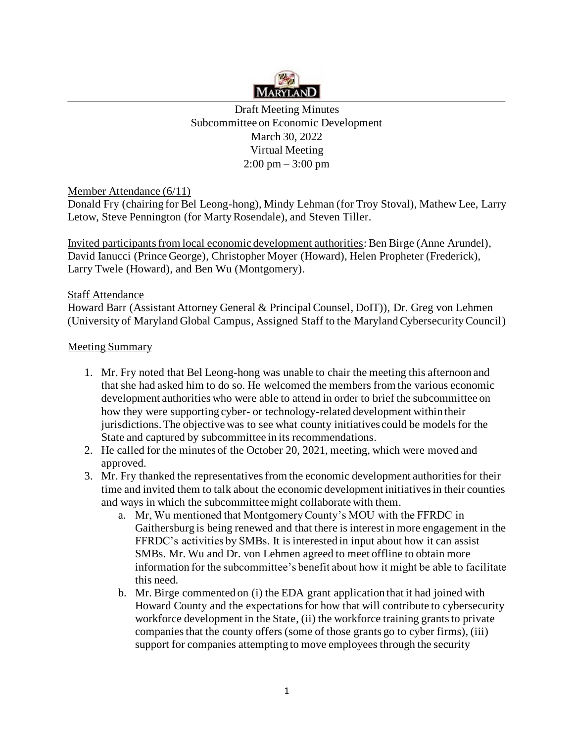

Draft Meeting Minutes Subcommittee on Economic Development March 30, 2022 Virtual Meeting 2:00 pm – 3:00 pm

Member Attendance (6/11)

Donald Fry (chairing for Bel Leong-hong), Mindy Lehman (for Troy Stoval), Mathew Lee, Larry Letow, Steve Pennington (for Marty Rosendale), and Steven Tiller.

Invited participants from local economic development authorities: Ben Birge (Anne Arundel), David Ianucci (Prince George), Christopher Moyer (Howard), Helen Propheter (Frederick), Larry Twele (Howard), and Ben Wu (Montgomery).

## Staff Attendance

Howard Barr (Assistant Attorney General & Principal Counsel, DoIT)), Dr. Greg von Lehmen (University of Maryland Global Campus, Assigned Staff to the Maryland Cybersecurity Council)

## Meeting Summary

- 1. Mr. Fry noted that Bel Leong-hong was unable to chair the meeting this afternoon and that she had asked him to do so. He welcomed the members from the various economic development authorities who were able to attend in order to brief the subcommittee on how they were supporting cyber- or technology-related development within their jurisdictions. The objective was to see what county initiatives could be models for the State and captured by subcommittee in its recommendations.
- 2. He called for the minutes of the October 20, 2021, meeting, which were moved and approved.
- 3. Mr. Fry thanked the representatives from the economic development authorities for their time and invited them to talk about the economic development initiatives in their counties and ways in which the subcommittee might collaborate with them.
	- a. Mr, Wu mentioned that Montgomery County's MOU with the FFRDC in Gaithersburg is being renewed and that there is interest in more engagement in the FFRDC's activities by SMBs. It is interested in input about how it can assist SMBs. Mr. Wu and Dr. von Lehmen agreed to meet offline to obtain more information for the subcommittee's benefit about how it might be able to facilitate this need.
	- b. Mr. Birge commented on (i) the EDA grant application that it had joined with Howard County and the expectations for how that will contribute to cybersecurity workforce development in the State, (ii) the workforce training grants to private companies that the county offers (some of those grants go to cyber firms), (iii) support for companies attempting to move employees through the security